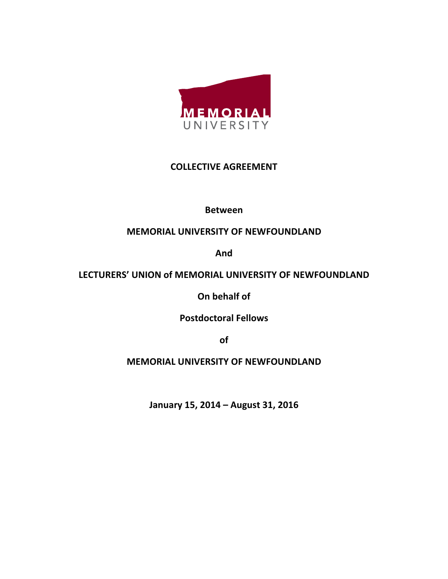

## **COLLECTIVE!AGREEMENT**

**Between**

# **MEMORIAL UNIVERSITY OF NEWFOUNDLAND**

**And**

# LECTURERS' UNION of MEMORIAL UNIVERSITY OF NEWFOUNDLAND

**On behalf of** 

**Postdoctoral!Fellows**

**of**

# **MEMORIAL UNIVERSITY OF NEWFOUNDLAND**

January 15, 2014 - August 31, 2016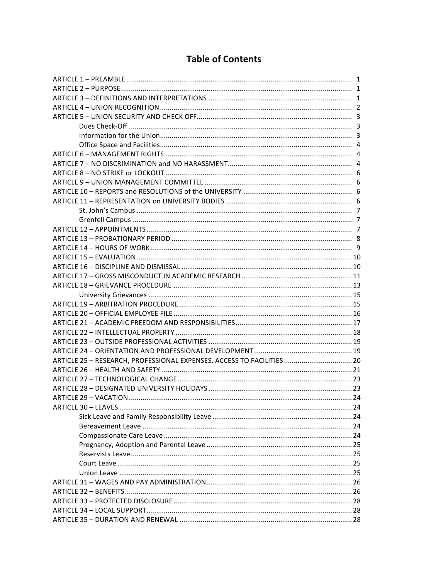# **Table of Contents**

| ARTICLE 25 - RESEARCH, PROFESSIONAL EXPENSES, ACCESS TO FACILITIES  20 |  |  |  |  |
|------------------------------------------------------------------------|--|--|--|--|
|                                                                        |  |  |  |  |
|                                                                        |  |  |  |  |
|                                                                        |  |  |  |  |
|                                                                        |  |  |  |  |
|                                                                        |  |  |  |  |
|                                                                        |  |  |  |  |
|                                                                        |  |  |  |  |
|                                                                        |  |  |  |  |
|                                                                        |  |  |  |  |
|                                                                        |  |  |  |  |
|                                                                        |  |  |  |  |
|                                                                        |  |  |  |  |
|                                                                        |  |  |  |  |
|                                                                        |  |  |  |  |
|                                                                        |  |  |  |  |
|                                                                        |  |  |  |  |
|                                                                        |  |  |  |  |
|                                                                        |  |  |  |  |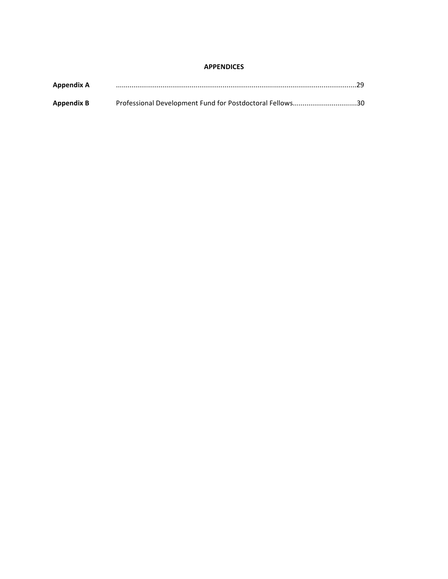#### **APPENDICES**

| <b>Appendix A</b> |                                                          |  |
|-------------------|----------------------------------------------------------|--|
| <b>Appendix B</b> | Professional Development Fund for Postdoctoral Fellows30 |  |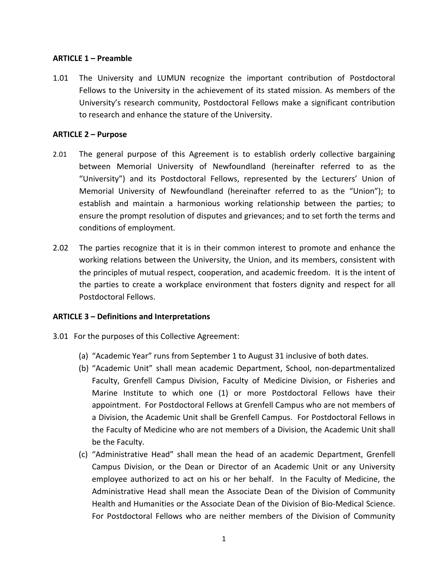### **ARTICLE 1 – Preamble**

1.01 The University and LUMUN recognize the important contribution of Postdoctoral Fellows to the University in the achievement of its stated mission. As members of the University's research community, Postdoctoral Fellows make a significant contribution to research and enhance the stature of the University.

### **ARTICLE 2 – Purpose**

- 2.01 The general purpose of this Agreement is to establish orderly collective bargaining between Memorial University of Newfoundland (hereinafter referred to as the "University") and its Postdoctoral Fellows, represented by the Lecturers' Union of Memorial University of Newfoundland (hereinafter referred to as the "Union"); to establish and maintain a harmonious working relationship between the parties; to ensure the prompt resolution of disputes and grievances; and to set forth the terms and conditions of employment.
- 2.02 The parties recognize that it is in their common interest to promote and enhance the working relations between the University, the Union, and its members, consistent with the principles of mutual respect, cooperation, and academic freedom. It is the intent of the parties to create a workplace environment that fosters dignity and respect for all Postdoctoral Fellows.

### ARTICLE 3 – Definitions and Interpretations

- 3.01 For the purposes of this Collective Agreement:
	- (a) "Academic Year" runs from September 1 to August 31 inclusive of both dates.
	- (b) "Academic Unit" shall mean academic Department, School, non-departmentalized Faculty, Grenfell Campus Division, Faculty of Medicine Division, or Fisheries and Marine Institute to which one (1) or more Postdoctoral Fellows have their appointment. For Postdoctoral Fellows at Grenfell Campus who are not members of a Division, the Academic Unit shall be Grenfell Campus. For Postdoctoral Fellows in the Faculty of Medicine who are not members of a Division, the Academic Unit shall be the Faculty.
	- (c) "Administrative Head" shall mean the head of an academic Department, Grenfell Campus Division, or the Dean or Director of an Academic Unit or any University employee authorized to act on his or her behalf. In the Faculty of Medicine, the Administrative Head shall mean the Associate Dean of the Division of Community Health and Humanities or the Associate Dean of the Division of Bio-Medical Science. For Postdoctoral Fellows who are neither members of the Division of Community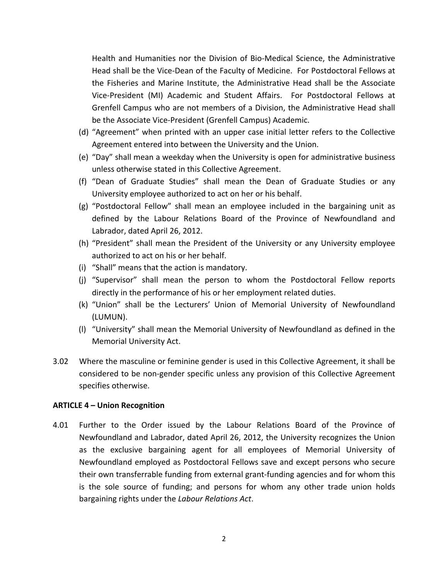Health and Humanities nor the Division of Bio-Medical Science, the Administrative Head shall be the Vice-Dean of the Faculty of Medicine. For Postdoctoral Fellows at the Fisheries and Marine Institute, the Administrative Head shall be the Associate Vice-President (MI) Academic and Student Affairs. For Postdoctoral Fellows at Grenfell Campus who are not members of a Division, the Administrative Head shall be the Associate Vice-President (Grenfell Campus) Academic.

- (d) "Agreement" when printed with an upper case initial letter refers to the Collective Agreement entered into between the University and the Union.
- (e) "Day" shall mean a weekday when the University is open for administrative business unless otherwise stated in this Collective Agreement.
- (f) "Dean of Graduate Studies" shall mean the Dean of Graduate Studies or any University employee authorized to act on her or his behalf.
- (g) "Postdoctoral Fellow" shall mean an employee included in the bargaining unit as defined by the Labour Relations Board of the Province of Newfoundland and Labrador, dated April 26, 2012.
- (h) "President" shall mean the President of the University or any University employee authorized to act on his or her behalf.
- (i) "Shall" means that the action is mandatory.
- (j) "Supervisor" shall mean the person to whom the Postdoctoral Fellow reports directly in the performance of his or her employment related duties.
- (k) "Union" shall be the Lecturers' Union of Memorial University of Newfoundland (LUMUN).
- (I) "University" shall mean the Memorial University of Newfoundland as defined in the Memorial University Act.
- 3.02 Where the masculine or feminine gender is used in this Collective Agreement, it shall be considered to be non-gender specific unless any provision of this Collective Agreement specifies otherwise.

### **ARTICLE 4 – Union Recognition**

4.01 Further to the Order issued by the Labour Relations Board of the Province of Newfoundland and Labrador, dated April 26, 2012, the University recognizes the Union as the exclusive bargaining agent for all employees of Memorial University of Newfoundland employed as Postdoctoral Fellows save and except persons who secure their own transferrable funding from external grant-funding agencies and for whom this is the sole source of funding; and persons for whom any other trade union holds bargaining rights under the *Labour Relations Act*.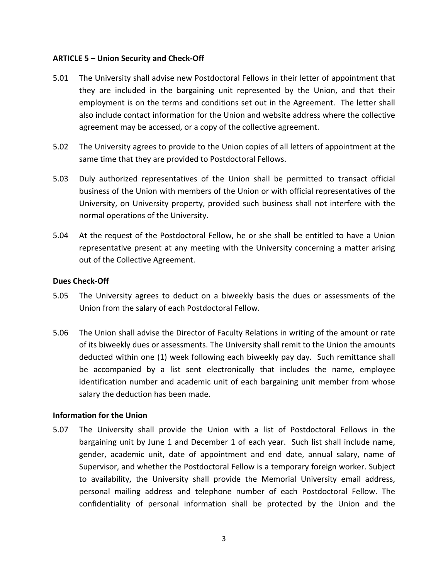### **ARTICLE 5 – Union Security and Check-Off**

- 5.01 The University shall advise new Postdoctoral Fellows in their letter of appointment that they are included in the bargaining unit represented by the Union, and that their employment is on the terms and conditions set out in the Agreement. The letter shall also include contact information for the Union and website address where the collective agreement may be accessed, or a copy of the collective agreement.
- 5.02 The University agrees to provide to the Union copies of all letters of appointment at the same time that they are provided to Postdoctoral Fellows.
- 5.03 Duly authorized representatives of the Union shall be permitted to transact official business of the Union with members of the Union or with official representatives of the University, on University property, provided such business shall not interfere with the normal operations of the University.
- 5.04 At the request of the Postdoctoral Fellow, he or she shall be entitled to have a Union representative present at any meeting with the University concerning a matter arising out of the Collective Agreement.

### **Dues Check-Off**

- 5.05 The University agrees to deduct on a biweekly basis the dues or assessments of the Union from the salary of each Postdoctoral Fellow.
- 5.06 The Union shall advise the Director of Faculty Relations in writing of the amount or rate of its biweekly dues or assessments. The University shall remit to the Union the amounts deducted within one (1) week following each biweekly pay day. Such remittance shall be accompanied by a list sent electronically that includes the name, employee identification number and academic unit of each bargaining unit member from whose salary the deduction has been made.

### **Information for the Union**

5.07 The University shall provide the Union with a list of Postdoctoral Fellows in the bargaining unit by June 1 and December 1 of each year. Such list shall include name, gender, academic unit, date of appointment and end date, annual salary, name of Supervisor, and whether the Postdoctoral Fellow is a temporary foreign worker. Subject to availability, the University shall provide the Memorial University email address, personal mailing address and telephone number of each Postdoctoral Fellow. The confidentiality of personal information shall be protected by the Union and the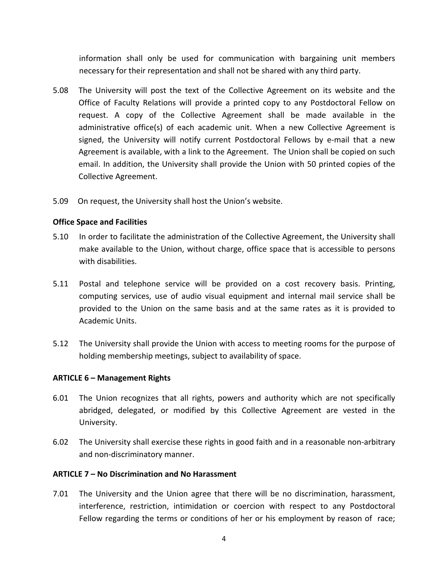information shall only be used for communication with bargaining unit members necessary for their representation and shall not be shared with any third party.

- 5.08 The University will post the text of the Collective Agreement on its website and the Office of Faculty Relations will provide a printed copy to any Postdoctoral Fellow on request. A copy of the Collective Agreement shall be made available in the administrative office(s) of each academic unit. When a new Collective Agreement is signed, the University will notify current Postdoctoral Fellows by e-mail that a new Agreement is available, with a link to the Agreement. The Union shall be copied on such email. In addition, the University shall provide the Union with 50 printed copies of the Collective Agreement.
- 5.09 On request, the University shall host the Union's website.

### **Office Space and Facilities**

- 5.10 In order to facilitate the administration of the Collective Agreement, the University shall make available to the Union, without charge, office space that is accessible to persons with disabilities.
- 5.11 Postal and telephone service will be provided on a cost recovery basis. Printing, computing services, use of audio visual equipment and internal mail service shall be provided to the Union on the same basis and at the same rates as it is provided to Academic!Units.
- 5.12 The University shall provide the Union with access to meeting rooms for the purpose of holding membership meetings, subject to availability of space.

### **ARTICLE 6 – Management Rights**

- 6.01 The Union recognizes that all rights, powers and authority which are not specifically abridged, delegated, or modified by this Collective Agreement are vested in the University.
- 6.02 The University shall exercise these rights in good faith and in a reasonable non-arbitrary and non-discriminatory manner.

#### ARTICLE 7 - No Discrimination and No Harassment

7.01 The University and the Union agree that there will be no discrimination, harassment, interference, restriction, intimidation or coercion with respect to any Postdoctoral Fellow regarding the terms or conditions of her or his employment by reason of race;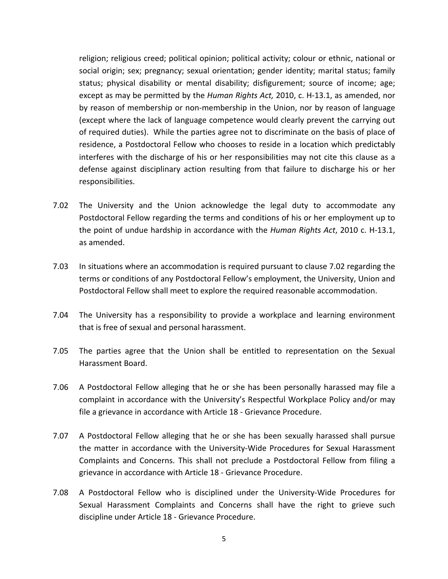religion; religious creed; political opinion; political activity; colour or ethnic, national or social origin; sex; pregnancy; sexual orientation; gender identity; marital status; family status; physical disability or mental disability; disfigurement; source of income; age; except as may be permitted by the *Human Rights Act,* 2010, c. H-13.1, as amended, nor by reason of membership or non-membership in the Union, nor by reason of language (except where the lack of language competence would clearly prevent the carrying out of required duties). While the parties agree not to discriminate on the basis of place of residence, a Postdoctoral Fellow who chooses to reside in a location which predictably interferes with the discharge of his or her responsibilities may not cite this clause as a defense against disciplinary action resulting from that failure to discharge his or her responsibilities.

- 7.02 The University and the Union acknowledge the legal duty to accommodate any Postdoctoral Fellow regarding the terms and conditions of his or her employment up to the point of undue hardship in accordance with the *Human Rights Act*, 2010 c. H-13.1, as amended.
- 7.03 In situations where an accommodation is required pursuant to clause 7.02 regarding the terms or conditions of any Postdoctoral Fellow's employment, the University, Union and Postdoctoral Fellow shall meet to explore the required reasonable accommodation.
- 7.04 The University has a responsibility to provide a workplace and learning environment that is free of sexual and personal harassment.
- 7.05 The parties agree that the Union shall be entitled to representation on the Sexual Harassment Board.
- 7.06 A Postdoctoral Fellow alleging that he or she has been personally harassed may file a complaint in accordance with the University's Respectful Workplace Policy and/or may file a grievance in accordance with Article 18 - Grievance Procedure.
- 7.07 A Postdoctoral Fellow alleging that he or she has been sexually harassed shall pursue the matter in accordance with the University-Wide Procedures for Sexual Harassment Complaints and Concerns. This shall not preclude a Postdoctoral Fellow from filing a grievance in accordance with Article 18 - Grievance Procedure.
- 7.08 A Postdoctoral Fellow who is disciplined under the University-Wide Procedures for Sexual Harassment Complaints and Concerns shall have the right to grieve such discipline under Article 18 - Grievance Procedure.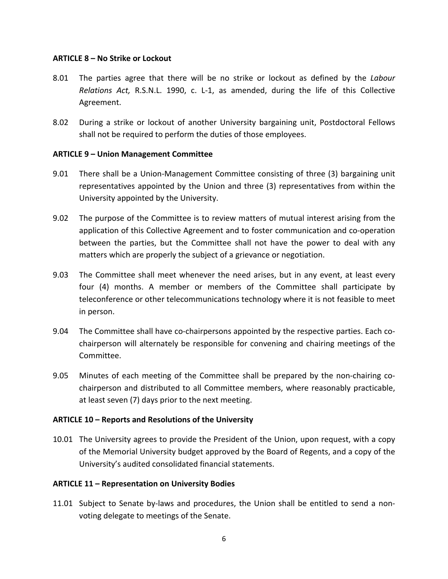### **ARTICLE 8 – No Strike or Lockout**

- 8.01 The parties agree that there will be no strike or lockout as defined by the *Labour Relations Act, R.S.N.L. 1990, c. L-1, as amended, during the life of this Collective* Agreement.
- 8.02 During a strike or lockout of another University bargaining unit, Postdoctoral Fellows shall not be required to perform the duties of those employees.

### **ARTICLE 9 – Union Management Committee**

- 9.01 There shall be a Union-Management Committee consisting of three (3) bargaining unit representatives appointed by the Union and three (3) representatives from within the University appointed by the University.
- 9.02 The purpose of the Committee is to review matters of mutual interest arising from the application of this Collective Agreement and to foster communication and co-operation between the parties, but the Committee shall not have the power to deal with any matters which are properly the subject of a grievance or negotiation.
- 9.03 The Committee shall meet whenever the need arises, but in any event, at least every four (4) months. A member or members of the Committee shall participate by teleconference or other telecommunications technology where it is not feasible to meet in person.
- 9.04 The Committee shall have co-chairpersons appointed by the respective parties. Each cochairperson will alternately be responsible for convening and chairing meetings of the Committee.
- 9.05 Minutes of each meeting of the Committee shall be prepared by the non-chairing cochairperson and distributed to all Committee members, where reasonably practicable, at least seven (7) days prior to the next meeting.

### ARTICLE 10 – Reports and Resolutions of the University

10.01 The University agrees to provide the President of the Union, upon request, with a copy of the Memorial University budget approved by the Board of Regents, and a copy of the University's audited consolidated financial statements.

### ARTICLE 11 - Representation on University Bodies

11.01 Subject to Senate by-laws and procedures, the Union shall be entitled to send a nonvoting delegate to meetings of the Senate.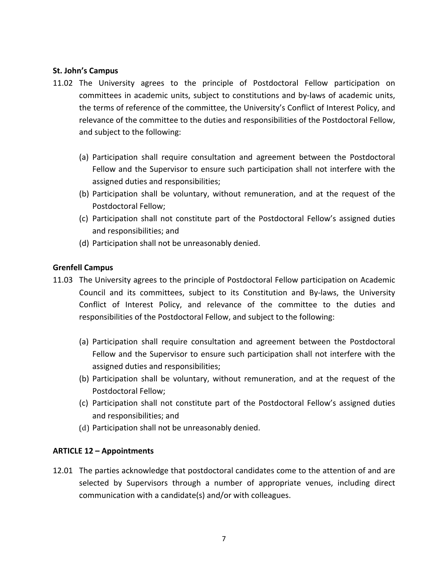### **St. John's Campus**

- 11.02 The University agrees to the principle of Postdoctoral Fellow participation on committees in academic units, subject to constitutions and by-laws of academic units, the terms of reference of the committee, the University's Conflict of Interest Policy, and relevance of the committee to the duties and responsibilities of the Postdoctoral Fellow, and subject to the following:
	- (a) Participation shall require consultation and agreement between the Postdoctoral Fellow and the Supervisor to ensure such participation shall not interfere with the assigned duties and responsibilities;
	- (b) Participation shall be voluntary, without remuneration, and at the request of the Postdoctoral Fellow:
	- (c) Participation shall not constitute part of the Postdoctoral Fellow's assigned duties and responsibilities; and
	- (d) Participation shall not be unreasonably denied.

### **Grenfell!Campus**

- 11.03 The University agrees to the principle of Postdoctoral Fellow participation on Academic Council and its committees, subject to its Constitution and By-laws, the University Conflict of Interest Policy, and relevance of the committee to the duties and responsibilities of the Postdoctoral Fellow, and subject to the following:
	- (a) Participation shall require consultation and agreement between the Postdoctoral Fellow and the Supervisor to ensure such participation shall not interfere with the assigned duties and responsibilities;
	- (b) Participation shall be voluntary, without remuneration, and at the request of the Postdoctoral Fellow;
	- (c) Participation shall not constitute part of the Postdoctoral Fellow's assigned duties and responsibilities; and
	- (d) Participation shall not be unreasonably denied.

### **ARTICLE 12 – Appointments**

12.01 The parties acknowledge that postdoctoral candidates come to the attention of and are selected by Supervisors through a number of appropriate venues, including direct communication with a candidate(s) and/or with colleagues.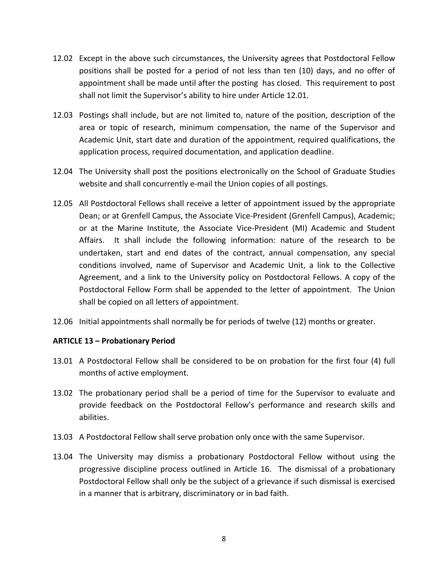- 12.02 Except in the above such circumstances, the University agrees that Postdoctoral Fellow positions shall be posted for a period of not less than ten (10) days, and no offer of appointment shall be made until after the posting has closed. This requirement to post shall not limit the Supervisor's ability to hire under Article 12.01.
- 12.03 Postings shall include, but are not limited to, nature of the position, description of the area or topic of research, minimum compensation, the name of the Supervisor and Academic Unit, start date and duration of the appointment, required qualifications, the application process, required documentation, and application deadline.
- 12.04 The University shall post the positions electronically on the School of Graduate Studies website and shall concurrently e-mail the Union copies of all postings.
- 12.05 All Postdoctoral Fellows shall receive a letter of appointment issued by the appropriate Dean; or at Grenfell Campus, the Associate Vice-President (Grenfell Campus), Academic; or at the Marine Institute, the Associate Vice-President (MI) Academic and Student Affairs. It shall include the following information: nature of the research to be undertaken, start and end dates of the contract, annual compensation, any special conditions involved, name of Supervisor and Academic Unit, a link to the Collective Agreement, and a link to the University policy on Postdoctoral Fellows. A copy of the Postdoctoral Fellow Form shall be appended to the letter of appointment. The Union shall be copied on all letters of appointment.
- 12.06 Initial appointments shall normally be for periods of twelve (12) months or greater.

#### **ARTICLE 13 – Probationary Period**

- 13.01 A Postdoctoral Fellow shall be considered to be on probation for the first four (4) full months of active employment.
- 13.02 The probationary period shall be a period of time for the Supervisor to evaluate and provide feedback on the Postdoctoral Fellow's performance and research skills and abilities.
- 13.03 A Postdoctoral Fellow shall serve probation only once with the same Supervisor.
- 13.04 The University may dismiss a probationary Postdoctoral Fellow without using the progressive discipline process outlined in Article 16. The dismissal of a probationary Postdoctoral Fellow shall only be the subject of a grievance if such dismissal is exercised in a manner that is arbitrary, discriminatory or in bad faith.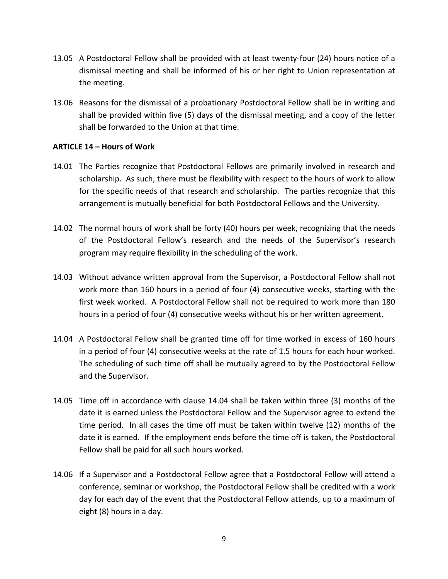- 13.05 A Postdoctoral Fellow shall be provided with at least twenty-four (24) hours notice of a dismissal meeting and shall be informed of his or her right to Union representation at the meeting.
- 13.06 Reasons for the dismissal of a probationary Postdoctoral Fellow shall be in writing and shall be provided within five (5) days of the dismissal meeting, and a copy of the letter shall be forwarded to the Union at that time.

### **ARTICLE 14 – Hours of Work**

- 14.01 The Parties recognize that Postdoctoral Fellows are primarily involved in research and scholarship. As such, there must be flexibility with respect to the hours of work to allow for the specific needs of that research and scholarship. The parties recognize that this arrangement is mutually beneficial for both Postdoctoral Fellows and the University.
- 14.02 The normal hours of work shall be forty (40) hours per week, recognizing that the needs of the Postdoctoral Fellow's research and the needs of the Supervisor's research program may require flexibility in the scheduling of the work.
- 14.03 Without advance written approval from the Supervisor, a Postdoctoral Fellow shall not work more than 160 hours in a period of four (4) consecutive weeks, starting with the first week worked. A Postdoctoral Fellow shall not be required to work more than 180 hours in a period of four (4) consecutive weeks without his or her written agreement.
- 14.04 A Postdoctoral Fellow shall be granted time off for time worked in excess of 160 hours in a period of four (4) consecutive weeks at the rate of 1.5 hours for each hour worked. The scheduling of such time off shall be mutually agreed to by the Postdoctoral Fellow and the Supervisor.
- 14.05 Time off in accordance with clause 14.04 shall be taken within three (3) months of the date it is earned unless the Postdoctoral Fellow and the Supervisor agree to extend the time period. In all cases the time off must be taken within twelve (12) months of the date it is earned. If the employment ends before the time off is taken, the Postdoctoral Fellow shall be paid for all such hours worked.
- 14.06 If a Supervisor and a Postdoctoral Fellow agree that a Postdoctoral Fellow will attend a conference, seminar or workshop, the Postdoctoral Fellow shall be credited with a work day for each day of the event that the Postdoctoral Fellow attends, up to a maximum of eight (8) hours in a day.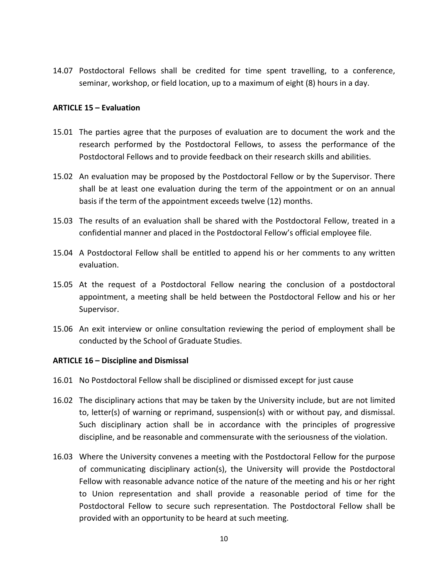14.07 Postdoctoral Fellows shall be credited for time spent travelling, to a conference, seminar, workshop, or field location, up to a maximum of eight (8) hours in a day.

### **ARTICLE 15 – Evaluation**

- 15.01 The parties agree that the purposes of evaluation are to document the work and the research performed by the Postdoctoral Fellows, to assess the performance of the Postdoctoral Fellows and to provide feedback on their research skills and abilities.
- 15.02 An evaluation may be proposed by the Postdoctoral Fellow or by the Supervisor. There shall be at least one evaluation during the term of the appointment or on an annual basis if the term of the appointment exceeds twelve (12) months.
- 15.03 The results of an evaluation shall be shared with the Postdoctoral Fellow, treated in a confidential manner and placed in the Postdoctoral Fellow's official employee file.
- 15.04 A Postdoctoral Fellow shall be entitled to append his or her comments to any written evaluation.
- 15.05 At the request of a Postdoctoral Fellow nearing the conclusion of a postdoctoral appointment, a meeting shall be held between the Postdoctoral Fellow and his or her Supervisor.
- 15.06 An exit interview or online consultation reviewing the period of employment shall be conducted by the School of Graduate Studies.

#### **ARTICLE 16 – Discipline and Dismissal**

- 16.01 No Postdoctoral Fellow shall be disciplined or dismissed except for just cause
- 16.02 The disciplinary actions that may be taken by the University include, but are not limited to, letter(s) of warning or reprimand, suspension(s) with or without pay, and dismissal. Such disciplinary action shall be in accordance with the principles of progressive discipline, and be reasonable and commensurate with the seriousness of the violation.
- 16.03 Where the University convenes a meeting with the Postdoctoral Fellow for the purpose of communicating disciplinary action(s), the University will provide the Postdoctoral Fellow with reasonable advance notice of the nature of the meeting and his or her right to Union representation and shall provide a reasonable period of time for the Postdoctoral Fellow to secure such representation. The Postdoctoral Fellow shall be provided with an opportunity to be heard at such meeting.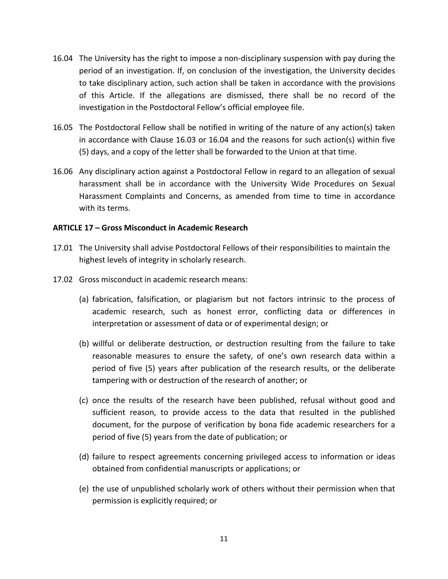- 16.04 The University has the right to impose a non-disciplinary suspension with pay during the period of an investigation. If, on conclusion of the investigation, the University decides to take disciplinary action, such action shall be taken in accordance with the provisions of this Article. If the allegations are dismissed, there shall be no record of the investigation in the Postdoctoral Fellow's official employee file.
- 16.05 The Postdoctoral Fellow shall be notified in writing of the nature of any action(s) taken in accordance with Clause 16.03 or 16.04 and the reasons for such action(s) within five (5) days, and a copy of the letter shall be forwarded to the Union at that time.
- 16.06 Any disciplinary action against a Postdoctoral Fellow in regard to an allegation of sexual harassment shall be in accordance with the University Wide Procedures on Sexual Harassment Complaints and Concerns, as amended from time to time in accordance with its terms.

### **ARTICLE!17!–!Gross!Misconduct!in!Academic!Research**

- 17.01 The University shall advise Postdoctoral Fellows of their responsibilities to maintain the highest levels of integrity in scholarly research.
- 17.02 Gross misconduct in academic research means:
	- (a) fabrication, falsification, or plagiarism but not factors intrinsic to the process of academic research, such as honest error, conflicting data or differences in interpretation or assessment of data or of experimental design; or
	- (b) willful or deliberate destruction, or destruction resulting from the failure to take reasonable measures to ensure the safety, of one's own research data within a period of five (5) years after publication of the research results, or the deliberate tampering with or destruction of the research of another; or
	- (c) once the results of the research have been published, refusal without good and sufficient reason, to provide access to the data that resulted in the published document, for the purpose of verification by bona fide academic researchers for a period of five (5) years from the date of publication; or
	- (d) failure to respect agreements concerning privileged access to information or ideas obtained from confidential manuscripts or applications; or
	- (e) the use of unpublished scholarly work of others without their permission when that permission is explicitly required; or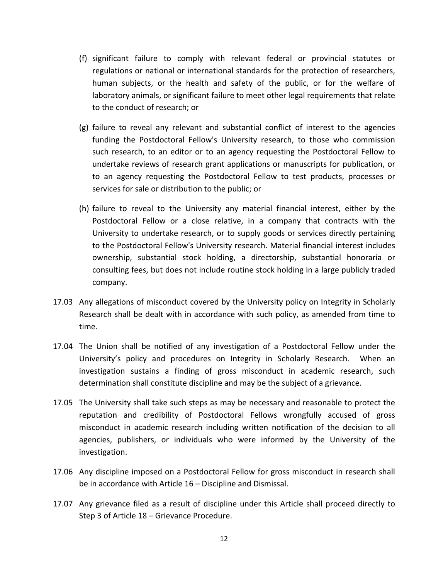- (f) significant failure to comply with relevant federal or provincial statutes or regulations or national or international standards for the protection of researchers, human subjects, or the health and safety of the public, or for the welfare of laboratory animals, or significant failure to meet other legal requirements that relate to the conduct of research; or
- $(g)$  failure to reveal any relevant and substantial conflict of interest to the agencies funding the Postdoctoral Fellow's University research, to those who commission such research, to an editor or to an agency requesting the Postdoctoral Fellow to undertake reviews of research grant applications or manuscripts for publication, or to an agency requesting the Postdoctoral Fellow to test products, processes or services for sale or distribution to the public; or
- (h) failure to reveal to the University any material financial interest, either by the Postdoctoral Fellow or a close relative, in a company that contracts with the University to undertake research, or to supply goods or services directly pertaining to the Postdoctoral Fellow's University research. Material financial interest includes ownership, substantial stock holding, a directorship, substantial honoraria or consulting fees, but does not include routine stock holding in a large publicly traded company.
- 17.03 Any allegations of misconduct covered by the University policy on Integrity in Scholarly Research shall be dealt with in accordance with such policy, as amended from time to time.
- 17.04 The Union shall be notified of any investigation of a Postdoctoral Fellow under the University's policy and procedures on Integrity in Scholarly Research. When an investigation sustains a finding of gross misconduct in academic research, such determination shall constitute discipline and may be the subject of a grievance.
- 17.05 The University shall take such steps as may be necessary and reasonable to protect the reputation and credibility of Postdoctoral Fellows wrongfully accused of gross misconduct in academic research including written notification of the decision to all agencies, publishers, or individuals who were informed by the University of the investigation.
- 17.06 Any discipline imposed on a Postdoctoral Fellow for gross misconduct in research shall be in accordance with Article  $16$  – Discipline and Dismissal.
- 17.07 Any grievance filed as a result of discipline under this Article shall proceed directly to Step 3 of Article 18 – Grievance Procedure.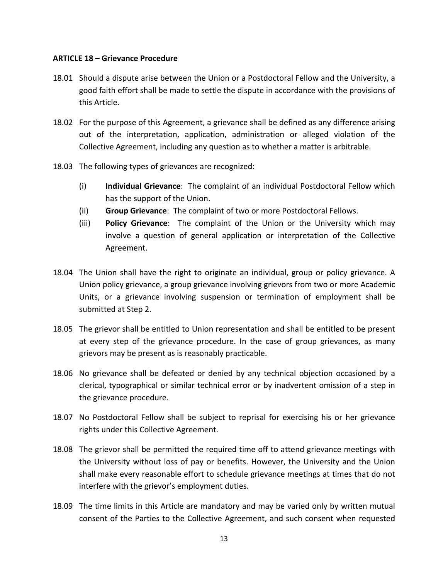### **ARTICLE 18 – Grievance Procedure**

- 18.01 Should a dispute arise between the Union or a Postdoctoral Fellow and the University, a good faith effort shall be made to settle the dispute in accordance with the provisions of this!Article.
- 18.02 For the purpose of this Agreement, a grievance shall be defined as any difference arising out of the interpretation, application, administration or alleged violation of the Collective Agreement, including any question as to whether a matter is arbitrable.
- 18.03 The following types of grievances are recognized:
	- (i) **Individual Grievance**: The complaint of an individual Postdoctoral Fellow which has the support of the Union.
	- (ii) **Group Grievance**: The complaint of two or more Postdoctoral Fellows.
	- (iii) **Policy Grievance**: The complaint of the Union or the University which may involve a question of general application or interpretation of the Collective Agreement.
- 18.04 The Union shall have the right to originate an individual, group or policy grievance. A Union policy grievance, a group grievance involving grievors from two or more Academic Units, or a grievance involving suspension or termination of employment shall be submitted at Step 2.
- 18.05 The grievor shall be entitled to Union representation and shall be entitled to be present at every step of the grievance procedure. In the case of group grievances, as many grievors may be present as is reasonably practicable.
- 18.06 No grievance shall be defeated or denied by any technical objection occasioned by a clerical, typographical or similar technical error or by inadvertent omission of a step in the grievance procedure.
- 18.07 No Postdoctoral Fellow shall be subject to reprisal for exercising his or her grievance rights under this Collective Agreement.
- 18.08 The grievor shall be permitted the required time off to attend grievance meetings with the University without loss of pay or benefits. However, the University and the Union shall make every reasonable effort to schedule grievance meetings at times that do not interfere with the grievor's employment duties.
- 18.09 The time limits in this Article are mandatory and may be varied only by written mutual consent of the Parties to the Collective Agreement, and such consent when requested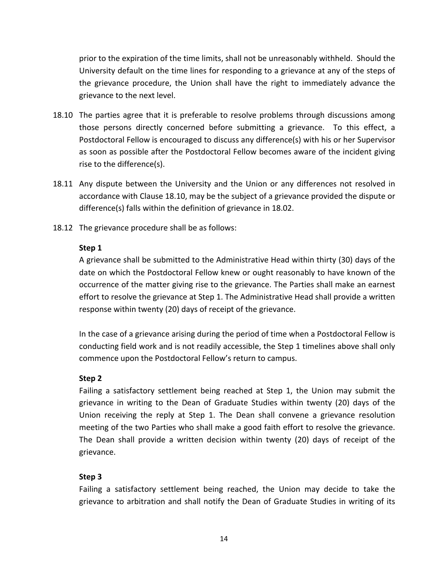prior to the expiration of the time limits, shall not be unreasonably withheld. Should the University default on the time lines for responding to a grievance at any of the steps of the grievance procedure, the Union shall have the right to immediately advance the grievance to the next level.

- 18.10 The parties agree that it is preferable to resolve problems through discussions among those persons directly concerned before submitting a grievance. To this effect, a Postdoctoral Fellow is encouraged to discuss any difference(s) with his or her Supervisor as soon as possible after the Postdoctoral Fellow becomes aware of the incident giving rise to the difference(s).
- 18.11 Any dispute between the University and the Union or any differences not resolved in accordance with Clause 18.10, may be the subject of a grievance provided the dispute or difference(s) falls within the definition of grievance in 18.02.
- 18.12 The grievance procedure shall be as follows:

### Step 1

A grievance shall be submitted to the Administrative Head within thirty (30) days of the date on which the Postdoctoral Fellow knew or ought reasonably to have known of the occurrence of the matter giving rise to the grievance. The Parties shall make an earnest effort to resolve the grievance at Step 1. The Administrative Head shall provide a written response within twenty (20) days of receipt of the grievance.

In the case of a grievance arising during the period of time when a Postdoctoral Fellow is conducting field work and is not readily accessible, the Step 1 timelines above shall only commence upon the Postdoctoral Fellow's return to campus.

### **Step!2**

Failing a satisfactory settlement being reached at Step 1, the Union may submit the grievance in writing to the Dean of Graduate Studies within twenty (20) days of the Union receiving the reply at Step 1. The Dean shall convene a grievance resolution meeting of the two Parties who shall make a good faith effort to resolve the grievance. The Dean shall provide a written decision within twenty (20) days of receipt of the grievance.

### Step 3

Failing a satisfactory settlement being reached, the Union may decide to take the grievance to arbitration and shall notify the Dean of Graduate Studies in writing of its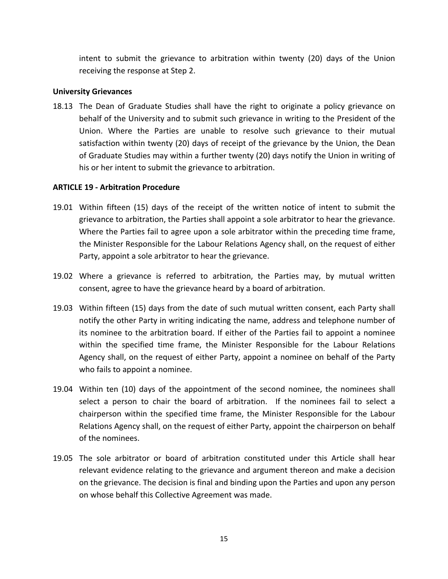intent to submit the grievance to arbitration within twenty (20) days of the Union receiving the response at Step 2.

### **University!Grievances**

18.13 The Dean of Graduate Studies shall have the right to originate a policy grievance on behalf of the University and to submit such grievance in writing to the President of the Union. Where the Parties are unable to resolve such grievance to their mutual satisfaction within twenty (20) days of receipt of the grievance by the Union, the Dean of Graduate Studies may within a further twenty (20) days notify the Union in writing of his or her intent to submit the grievance to arbitration.

### **ARTICLE 19 - Arbitration Procedure**

- 19.01 Within fifteen (15) days of the receipt of the written notice of intent to submit the grievance to arbitration, the Parties shall appoint a sole arbitrator to hear the grievance. Where the Parties fail to agree upon a sole arbitrator within the preceding time frame, the Minister Responsible for the Labour Relations Agency shall, on the request of either Party, appoint a sole arbitrator to hear the grievance.
- 19.02 Where a grievance is referred to arbitration, the Parties may, by mutual written consent, agree to have the grievance heard by a board of arbitration.
- 19.03 Within fifteen (15) days from the date of such mutual written consent, each Party shall notify the other Party in writing indicating the name, address and telephone number of its nominee to the arbitration board. If either of the Parties fail to appoint a nominee within the specified time frame, the Minister Responsible for the Labour Relations Agency shall, on the request of either Party, appoint a nominee on behalf of the Party who fails to appoint a nominee.
- 19.04 Within ten (10) days of the appointment of the second nominee, the nominees shall select a person to chair the board of arbitration. If the nominees fail to select a chairperson within the specified time frame, the Minister Responsible for the Labour Relations Agency shall, on the request of either Party, appoint the chairperson on behalf of the nominees.
- 19.05 The sole arbitrator or board of arbitration constituted under this Article shall hear relevant evidence relating to the grievance and argument thereon and make a decision on the grievance. The decision is final and binding upon the Parties and upon any person on whose behalf this Collective Agreement was made.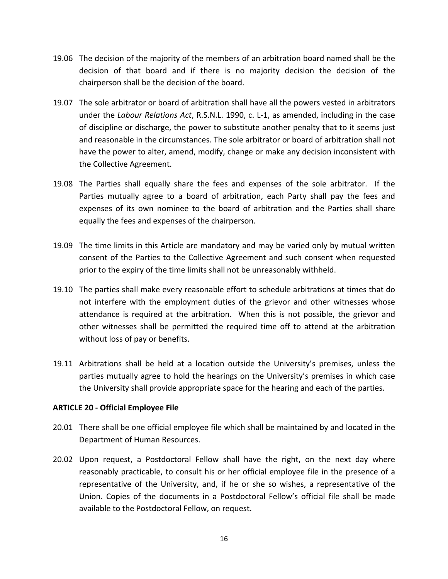- 19.06 The decision of the majority of the members of an arbitration board named shall be the decision of that board and if there is no majority decision the decision of the chairperson shall be the decision of the board.
- 19.07 The sole arbitrator or board of arbitration shall have all the powers vested in arbitrators under the *Labour Relations Act*, R.S.N.L. 1990, c. L-1, as amended, including in the case of discipline or discharge, the power to substitute another penalty that to it seems just and reasonable in the circumstances. The sole arbitrator or board of arbitration shall not have the power to alter, amend, modify, change or make any decision inconsistent with the Collective Agreement.
- 19.08 The Parties shall equally share the fees and expenses of the sole arbitrator. If the Parties mutually agree to a board of arbitration, each Party shall pay the fees and expenses of its own nominee to the board of arbitration and the Parties shall share equally the fees and expenses of the chairperson.
- 19.09 The time limits in this Article are mandatory and may be varied only by mutual written consent of the Parties to the Collective Agreement and such consent when requested prior to the expiry of the time limits shall not be unreasonably withheld.
- 19.10 The parties shall make every reasonable effort to schedule arbitrations at times that do not interfere with the employment duties of the grievor and other witnesses whose attendance is required at the arbitration. When this is not possible, the grievor and other witnesses shall be permitted the required time off to attend at the arbitration without loss of pay or benefits.
- 19.11 Arbitrations shall be held at a location outside the University's premises, unless the parties mutually agree to hold the hearings on the University's premises in which case the University shall provide appropriate space for the hearing and each of the parties.

### **ARTICLE 20 - Official Employee File**

- 20.01 There shall be one official employee file which shall be maintained by and located in the Department of Human Resources.
- 20.02 Upon request, a Postdoctoral Fellow shall have the right, on the next day where reasonably practicable, to consult his or her official employee file in the presence of a representative of the University, and, if he or she so wishes, a representative of the Union. Copies of the documents in a Postdoctoral Fellow's official file shall be made available to the Postdoctoral Fellow, on request.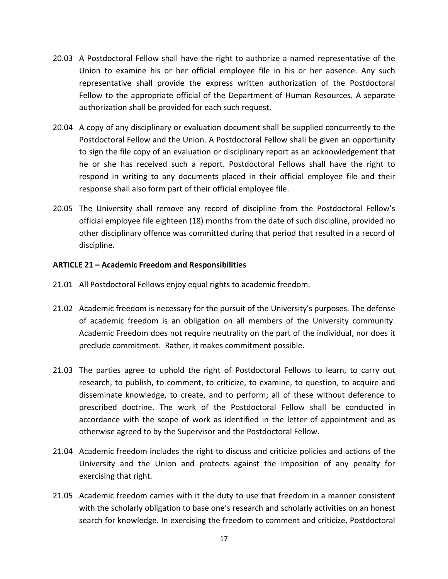- 20.03 A Postdoctoral Fellow shall have the right to authorize a named representative of the Union to examine his or her official employee file in his or her absence. Any such representative shall provide the express written authorization of the Postdoctoral Fellow to the appropriate official of the Department of Human Resources. A separate authorization shall be provided for each such request.
- 20.04 A copy of any disciplinary or evaluation document shall be supplied concurrently to the Postdoctoral Fellow and the Union. A Postdoctoral Fellow shall be given an opportunity to sign the file copy of an evaluation or disciplinary report as an acknowledgement that he or she has received such a report. Postdoctoral Fellows shall have the right to respond in writing to any documents placed in their official employee file and their response shall also form part of their official employee file.
- 20.05 The University shall remove any record of discipline from the Postdoctoral Fellow's official employee file eighteen (18) months from the date of such discipline, provided no other disciplinary offence was committed during that period that resulted in a record of discipline.

### ARTICLE 21 - Academic Freedom and Responsibilities

- 21.01 All Postdoctoral Fellows enjoy equal rights to academic freedom.
- 21.02 Academic freedom is necessary for the pursuit of the University's purposes. The defense of academic freedom is an obligation on all members of the University community. Academic Freedom does not require neutrality on the part of the individual, nor does it preclude commitment. Rather, it makes commitment possible.
- 21.03 The parties agree to uphold the right of Postdoctoral Fellows to learn, to carry out research, to publish, to comment, to criticize, to examine, to question, to acquire and disseminate knowledge, to create, and to perform; all of these without deference to prescribed doctrine. The work of the Postdoctoral Fellow shall be conducted in accordance with the scope of work as identified in the letter of appointment and as otherwise agreed to by the Supervisor and the Postdoctoral Fellow.
- 21.04 Academic freedom includes the right to discuss and criticize policies and actions of the University and the Union and protects against the imposition of any penalty for exercising that right.
- 21.05 Academic freedom carries with it the duty to use that freedom in a manner consistent with the scholarly obligation to base one's research and scholarly activities on an honest search for knowledge. In exercising the freedom to comment and criticize, Postdoctoral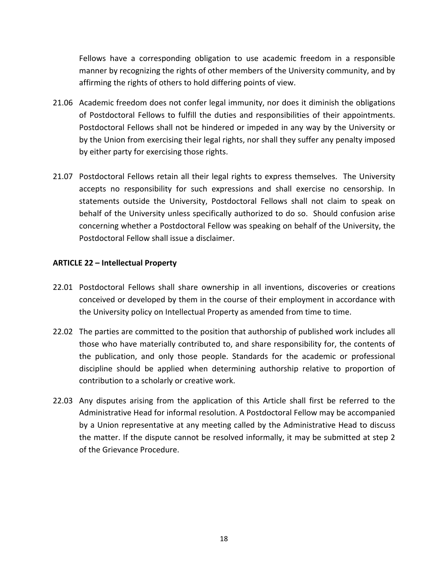Fellows have a corresponding obligation to use academic freedom in a responsible manner by recognizing the rights of other members of the University community, and by affirming the rights of others to hold differing points of view.

- 21.06 Academic freedom does not confer legal immunity, nor does it diminish the obligations of Postdoctoral Fellows to fulfill the duties and responsibilities of their appointments. Postdoctoral Fellows shall not be hindered or impeded in any way by the University or by the Union from exercising their legal rights, nor shall they suffer any penalty imposed by either party for exercising those rights.
- 21.07 Postdoctoral Fellows retain all their legal rights to express themselves. The University accepts no responsibility for such expressions and shall exercise no censorship. In statements outside the University, Postdoctoral Fellows shall not claim to speak on behalf of the University unless specifically authorized to do so. Should confusion arise concerning whether a Postdoctoral Fellow was speaking on behalf of the University, the Postdoctoral Fellow shall issue a disclaimer.

### **ARTICLE!22!– Intellectual!Property**

- 22.01 Postdoctoral Fellows shall share ownership in all inventions, discoveries or creations conceived or developed by them in the course of their employment in accordance with the University policy on Intellectual Property as amended from time to time.
- 22.02 The parties are committed to the position that authorship of published work includes all those who have materially contributed to, and share responsibility for, the contents of the publication, and only those people. Standards for the academic or professional discipline should be applied when determining authorship relative to proportion of contribution to a scholarly or creative work.
- 22.03 Any disputes arising from the application of this Article shall first be referred to the Administrative Head for informal resolution. A Postdoctoral Fellow may be accompanied by a Union representative at any meeting called by the Administrative Head to discuss the matter. If the dispute cannot be resolved informally, it may be submitted at step 2 of the Grievance Procedure.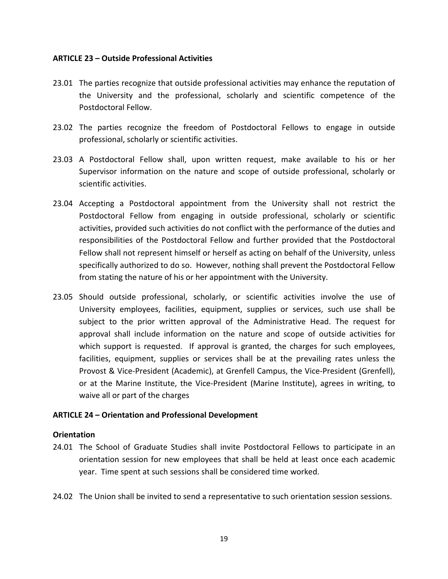### ARTICLE 23 - Outside Professional Activities

- 23.01 The parties recognize that outside professional activities may enhance the reputation of the University and the professional, scholarly and scientific competence of the Postdoctoral Fellow.
- 23.02 The parties recognize the freedom of Postdoctoral Fellows to engage in outside professional, scholarly or scientific activities.
- 23.03 A Postdoctoral Fellow shall, upon written request, make available to his or her Supervisor information on the nature and scope of outside professional, scholarly or scientific activities.
- 23.04 Accepting a Postdoctoral appointment from the University shall not restrict the Postdoctoral Fellow from engaging in outside professional, scholarly or scientific activities, provided such activities do not conflict with the performance of the duties and responsibilities of the Postdoctoral Fellow and further provided that the Postdoctoral Fellow shall not represent himself or herself as acting on behalf of the University, unless specifically authorized to do so. However, nothing shall prevent the Postdoctoral Fellow from stating the nature of his or her appointment with the University.
- 23.05 Should outside professional, scholarly, or scientific activities involve the use of University employees, facilities, equipment, supplies or services, such use shall be subject to the prior written approval of the Administrative Head. The request for approval shall include information on the nature and scope of outside activities for which support is requested. If approval is granted, the charges for such employees, facilities, equipment, supplies or services shall be at the prevailing rates unless the Provost & Vice-President (Academic), at Grenfell Campus, the Vice-President (Grenfell), or at the Marine Institute, the Vice-President (Marine Institute), agrees in writing, to waive all or part of the charges

### ARTICLE 24 – Orientation and Professional Development

#### **Orientation**

- 24.01 The School of Graduate Studies shall invite Postdoctoral Fellows to participate in an orientation session for new employees that shall be held at least once each academic year. Time spent at such sessions shall be considered time worked.
- 24.02 The Union shall be invited to send a representative to such orientation session sessions.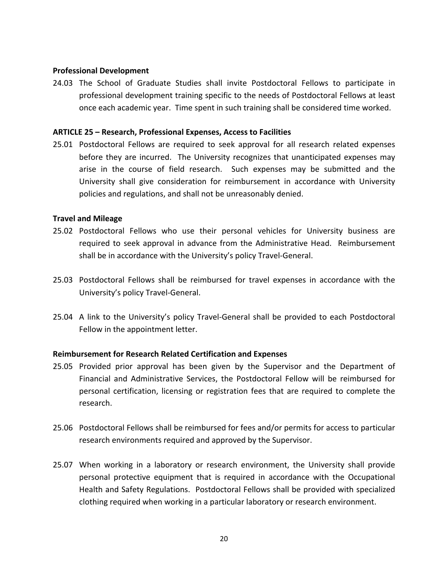### **Professional!Development**

24.03 The School of Graduate Studies shall invite Postdoctoral Fellows to participate in professional development training specific to the needs of Postdoctoral Fellows at least once each academic year. Time spent in such training shall be considered time worked.

### **ARTICLE!25 – Research,!Professional!Expenses,!Access!to!Facilities**

25.01 Postdoctoral Fellows are required to seek approval for all research related expenses before they are incurred. The University recognizes that unanticipated expenses may arise in the course of field research. Such expenses may be submitted and the University shall give consideration for reimbursement in accordance with University policies and regulations, and shall not be unreasonably denied.

### **Travel!and!Mileage**

- 25.02 Postdoctoral Fellows who use their personal vehicles for University business are required to seek approval in advance from the Administrative Head. Reimbursement shall be in accordance with the University's policy Travel-General.
- 25.03 Postdoctoral Fellows shall be reimbursed for travel expenses in accordance with the University's policy Travel-General.
- 25.04 A link to the University's policy Travel-General shall be provided to each Postdoctoral Fellow in the appointment letter.

### **Reimbursement for Research Related Certification and Expenses**

- 25.05 Provided prior approval has been given by the Supervisor and the Department of Financial and Administrative Services, the Postdoctoral Fellow will be reimbursed for personal certification, licensing or registration fees that are required to complete the research.
- 25.06 Postdoctoral Fellows shall be reimbursed for fees and/or permits for access to particular research environments required and approved by the Supervisor.
- 25.07 When working in a laboratory or research environment, the University shall provide personal protective equipment that is required in accordance with the Occupational Health and Safety Regulations. Postdoctoral Fellows shall be provided with specialized clothing required when working in a particular laboratory or research environment.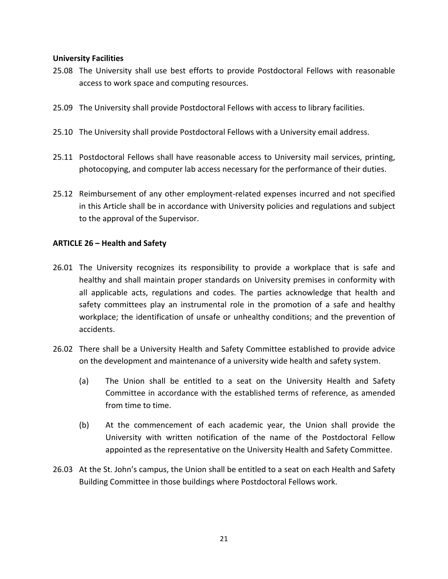### **University Facilities**

- 25.08 The University shall use best efforts to provide Postdoctoral Fellows with reasonable access to work space and computing resources.
- 25.09 The University shall provide Postdoctoral Fellows with access to library facilities.
- 25.10 The University shall provide Postdoctoral Fellows with a University email address.
- 25.11 Postdoctoral Fellows shall have reasonable access to University mail services, printing, photocopying, and computer lab access necessary for the performance of their duties.
- 25.12 Reimbursement of any other employment-related expenses incurred and not specified in this Article shall be in accordance with University policies and regulations and subject to the approval of the Supervisor.

### **ARTICLE 26 – Health and Safety**

- 26.01 The University recognizes its responsibility to provide a workplace that is safe and healthy and shall maintain proper standards on University premises in conformity with all applicable acts, regulations and codes. The parties acknowledge that health and safety committees play an instrumental role in the promotion of a safe and healthy workplace; the identification of unsafe or unhealthy conditions; and the prevention of accidents.
- 26.02 There shall be a University Health and Safety Committee established to provide advice on the development and maintenance of a university wide health and safety system.
	- (a) The Union shall be entitled to a seat on the University Health and Safety Committee in accordance with the established terms of reference, as amended from time to time.
	- (b) At the commencement of each academic year, the Union shall provide the University with written notification of the name of the Postdoctoral Fellow appointed as the representative on the University Health and Safety Committee.
- 26.03 At the St. John's campus, the Union shall be entitled to a seat on each Health and Safety Building Committee in those buildings where Postdoctoral Fellows work.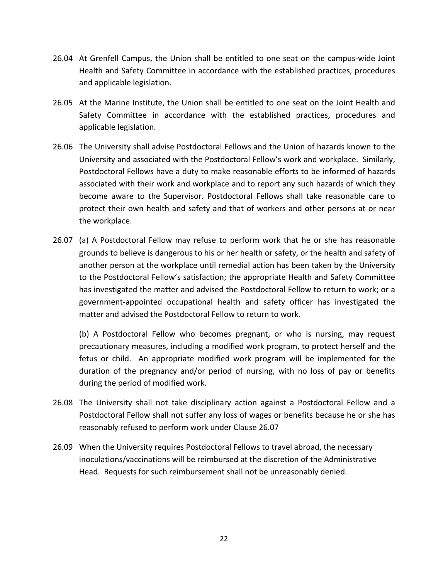- 26.04 At Grenfell Campus, the Union shall be entitled to one seat on the campus-wide Joint Health and Safety Committee in accordance with the established practices, procedures and applicable legislation.
- 26.05 At the Marine Institute, the Union shall be entitled to one seat on the Joint Health and Safety Committee in accordance with the established practices, procedures and applicable legislation.
- 26.06 The University shall advise Postdoctoral Fellows and the Union of hazards known to the University and associated with the Postdoctoral Fellow's work and workplace. Similarly, Postdoctoral Fellows have a duty to make reasonable efforts to be informed of hazards associated with their work and workplace and to report any such hazards of which they become aware to the Supervisor. Postdoctoral Fellows shall take reasonable care to protect their own health and safety and that of workers and other persons at or near the workplace.
- 26.07 (a) A Postdoctoral Fellow may refuse to perform work that he or she has reasonable grounds to believe is dangerous to his or her health or safety, or the health and safety of another person at the workplace until remedial action has been taken by the University to the Postdoctoral Fellow's satisfaction; the appropriate Health and Safety Committee has investigated the matter and advised the Postdoctoral Fellow to return to work; or a government-appointed occupational health and safety officer has investigated the matter and advised the Postdoctoral Fellow to return to work.

(b) A Postdoctoral Fellow who becomes pregnant, or who is nursing, may request precautionary measures, including a modified work program, to protect herself and the fetus or child. An appropriate modified work program will be implemented for the duration of the pregnancy and/or period of nursing, with no loss of pay or benefits during the period of modified work.

- 26.08 The University shall not take disciplinary action against a Postdoctoral Fellow and a Postdoctoral Fellow shall not suffer any loss of wages or benefits because he or she has reasonably refused to perform work under Clause 26.07
- 26.09 When the University requires Postdoctoral Fellows to travel abroad, the necessary inoculations/vaccinations will be reimbursed at the discretion of the Administrative Head. Requests for such reimbursement shall not be unreasonably denied.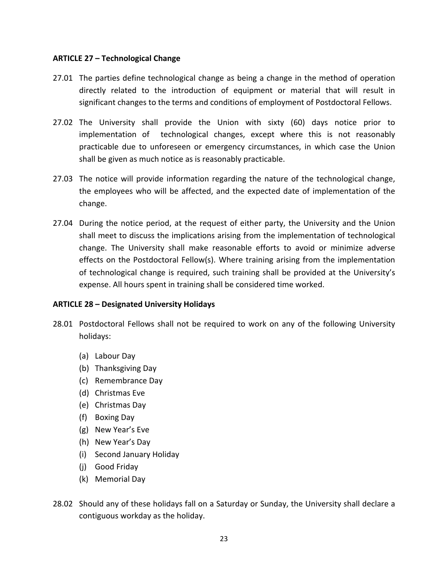### **ARTICLE 27 – Technological Change**

- 27.01 The parties define technological change as being a change in the method of operation directly related to the introduction of equipment or material that will result in significant changes to the terms and conditions of employment of Postdoctoral Fellows.
- 27.02 The University shall provide the Union with sixty (60) days notice prior to implementation of technological changes, except where this is not reasonably practicable due to unforeseen or emergency circumstances, in which case the Union shall be given as much notice as is reasonably practicable.
- 27.03 The notice will provide information regarding the nature of the technological change, the employees who will be affected, and the expected date of implementation of the change.
- 27.04 During the notice period, at the request of either party, the University and the Union shall meet to discuss the implications arising from the implementation of technological change. The University shall make reasonable efforts to avoid or minimize adverse effects on the Postdoctoral Fellow(s). Where training arising from the implementation of technological change is required, such training shall be provided at the University's expense. All hours spent in training shall be considered time worked.

### **ARTICLE 28 - Designated University Holidays**

- 28.01 Postdoctoral Fellows shall not be required to work on any of the following University holidays:
	- (a) Labour Day
	- (b) Thanksgiving!Day
	- (c) Remembrance!Day
	- (d) Christmas Eve
	- (e) Christmas!Day
	- (f) Boxing!Day
	- (g) New Year's Eve
	- (h) New Year's Day
	- (i) Second January Holiday
	- (i) Good Friday
	- (k) Memorial Day
- 28.02 Should any of these holidays fall on a Saturday or Sunday, the University shall declare a contiguous workday as the holiday.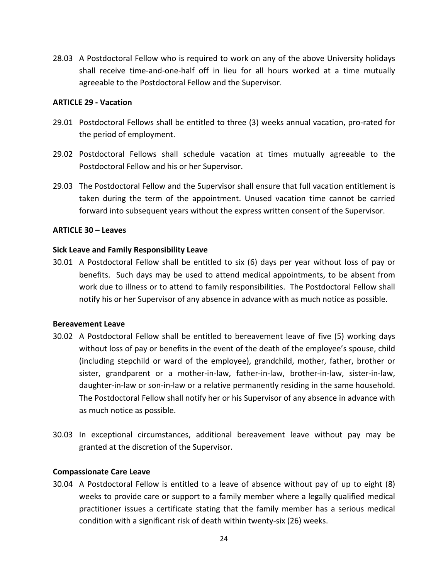28.03 A Postdoctoral Fellow who is required to work on any of the above University holidays shall receive time-and-one-half off in lieu for all hours worked at a time mutually agreeable to the Postdoctoral Fellow and the Supervisor.

### **ARTICLE 29 - Vacation**

- 29.01 Postdoctoral Fellows shall be entitled to three (3) weeks annual vacation, pro-rated for the period of employment.
- 29.02 Postdoctoral Fellows shall schedule vacation at times mutually agreeable to the Postdoctoral Fellow and his or her Supervisor.
- 29.03 The Postdoctoral Fellow and the Supervisor shall ensure that full vacation entitlement is taken during the term of the appointment. Unused vacation time cannot be carried forward into subsequent years without the express written consent of the Supervisor.

### **ARTICLE!30!–!Leaves**

### **Sick Leave and Family Responsibility Leave**

 $30.01$  A Postdoctoral Fellow shall be entitled to six (6) days per year without loss of pay or benefits. Such days may be used to attend medical appointments, to be absent from work due to illness or to attend to family responsibilities. The Postdoctoral Fellow shall notify his or her Supervisor of any absence in advance with as much notice as possible.

#### **Bereavement Leave**

- 30.02 A Postdoctoral Fellow shall be entitled to bereavement leave of five (5) working days without loss of pay or benefits in the event of the death of the employee's spouse, child (including stepchild or ward of the employee), grandchild, mother, father, brother or sister, grandparent or a mother-in-law, father-in-law, brother-in-law, sister-in-law, daughter-in-law or son-in-law or a relative permanently residing in the same household. The Postdoctoral Fellow shall notify her or his Supervisor of any absence in advance with as much notice as possible.
- 30.03 In exceptional circumstances, additional bereavement leave without pay may be granted at the discretion of the Supervisor.

#### **Compassionate Care Leave**

30.04 A Postdoctoral Fellow is entitled to a leave of absence without pay of up to eight (8) weeks to provide care or support to a family member where a legally qualified medical practitioner issues a certificate stating that the family member has a serious medical condition with a significant risk of death within twenty-six (26) weeks.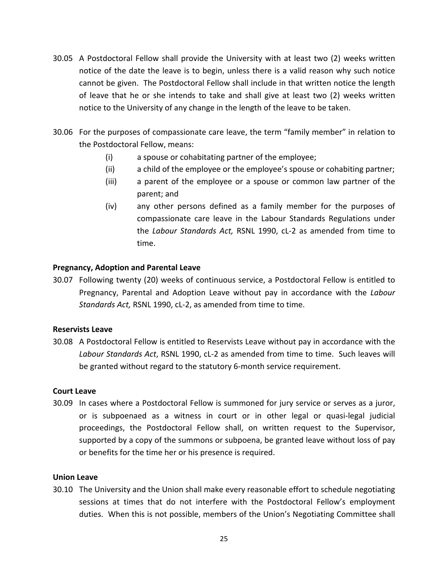- 30.05 A Postdoctoral Fellow shall provide the University with at least two (2) weeks written notice of the date the leave is to begin, unless there is a valid reason why such notice cannot be given. The Postdoctoral Fellow shall include in that written notice the length of leave that he or she intends to take and shall give at least two (2) weeks written notice to the University of any change in the length of the leave to be taken.
- 30.06 For the purposes of compassionate care leave, the term "family member" in relation to the Postdoctoral Fellow, means:
	- (i) a spouse or cohabitating partner of the employee;
	- (ii) a child of the employee or the employee's spouse or cohabiting partner;
	- (iii) a parent of the employee or a spouse or common law partner of the parent; and
	- $(iv)$  any other persons defined as a family member for the purposes of compassionate care leave in the Labour Standards Regulations under the *Labour Standards Act*, RSNL 1990, cL-2 as amended from time to time.

#### **Pregnancy, Adoption and Parental Leave**

30.07 Following twenty (20) weeks of continuous service, a Postdoctoral Fellow is entitled to Pregnancy, Parental and Adoption Leave without pay in accordance with the *Labour Standards Act, RSNL 1990, cL-2, as amended from time to time.* 

### **Reservists Leave**

30.08 A Postdoctoral Fellow is entitled to Reservists Leave without pay in accordance with the Labour Standards Act, RSNL 1990, cL-2 as amended from time to time. Such leaves will be granted without regard to the statutory 6-month service requirement.

#### **Court!Leave**

30.09 In cases where a Postdoctoral Fellow is summoned for jury service or serves as a juror, or is subpoenaed as a witness in court or in other legal or quasi-legal judicial proceedings, the Postdoctoral Fellow shall, on written request to the Supervisor, supported by a copy of the summons or subpoena, be granted leave without loss of pay or benefits for the time her or his presence is required.

#### **Union!Leave**

30.10 The University and the Union shall make every reasonable effort to schedule negotiating sessions at times that do not interfere with the Postdoctoral Fellow's employment duties. When this is not possible, members of the Union's Negotiating Committee shall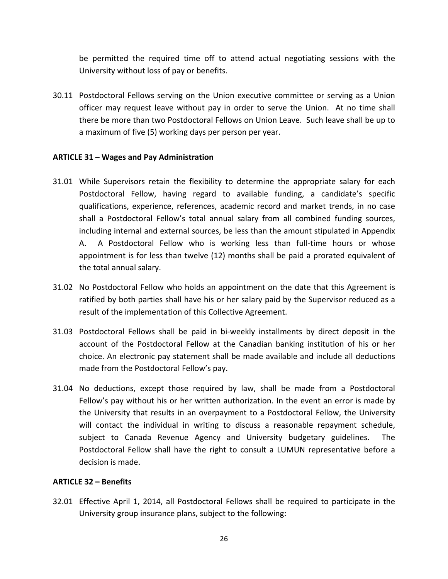be permitted the required time off to attend actual negotiating sessions with the University without loss of pay or benefits.

30.11 Postdoctoral Fellows serving on the Union executive committee or serving as a Union officer may request leave without pay in order to serve the Union. At no time shall there be more than two Postdoctoral Fellows on Union Leave. Such leave shall be up to a maximum of five (5) working days per person per year.

### ARTICLE 31 - Wages and Pay Administration

- 31.01 While Supervisors retain the flexibility to determine the appropriate salary for each Postdoctoral Fellow, having regard to available funding, a candidate's specific qualifications, experience, references, academic record and market trends, in no case shall a Postdoctoral Fellow's total annual salary from all combined funding sources, including internal and external sources, be less than the amount stipulated in Appendix A. A Postdoctoral Fellow who is working less than full-time hours or whose appointment is for less than twelve (12) months shall be paid a prorated equivalent of the total annual salary.
- 31.02 No Postdoctoral Fellow who holds an appointment on the date that this Agreement is ratified by both parties shall have his or her salary paid by the Supervisor reduced as a result of the implementation of this Collective Agreement.
- 31.03 Postdoctoral Fellows shall be paid in bi-weekly installments by direct deposit in the account of the Postdoctoral Fellow at the Canadian banking institution of his or her choice. An electronic pay statement shall be made available and include all deductions made from the Postdoctoral Fellow's pay.
- 31.04 No deductions, except those required by law, shall be made from a Postdoctoral Fellow's pay without his or her written authorization. In the event an error is made by the University that results in an overpayment to a Postdoctoral Fellow, the University will contact the individual in writing to discuss a reasonable repayment schedule, subject to Canada Revenue Agency and University budgetary guidelines. The Postdoctoral Fellow shall have the right to consult a LUMUN representative before a decision is made.

### **ARTICLE 32 – Benefits**

32.01 Effective April 1, 2014, all Postdoctoral Fellows shall be required to participate in the University group insurance plans, subject to the following: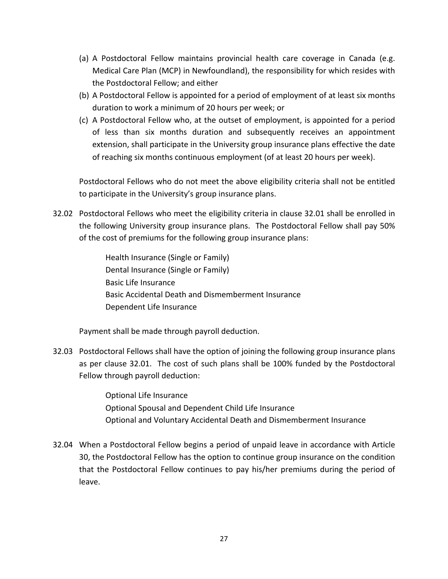- (a) A Postdoctoral Fellow maintains provincial health care coverage in Canada (e.g. Medical Care Plan (MCP) in Newfoundland), the responsibility for which resides with the Postdoctoral Fellow; and either
- (b) A Postdoctoral Fellow is appointed for a period of employment of at least six months duration to work a minimum of 20 hours per week; or
- (c) A Postdoctoral Fellow who, at the outset of employment, is appointed for a period of less than six months duration and subsequently receives an appointment extension, shall participate in the University group insurance plans effective the date of reaching six months continuous employment (of at least 20 hours per week).

Postdoctoral Fellows who do not meet the above eligibility criteria shall not be entitled to participate in the University's group insurance plans.

32.02 Postdoctoral Fellows who meet the eligibility criteria in clause 32.01 shall be enrolled in the following University group insurance plans. The Postdoctoral Fellow shall pay 50% of the cost of premiums for the following group insurance plans:

> Health Insurance (Single or Family) Dental Insurance (Single or Family) Basic Life Insurance Basic Accidental Death and Dismemberment Insurance Dependent Life Insurance

Payment shall be made through payroll deduction.

32.03 Postdoctoral Fellows shall have the option of joining the following group insurance plans as per clause 32.01. The cost of such plans shall be 100% funded by the Postdoctoral Fellow through payroll deduction:

> Optional Life Insurance Optional Spousal and Dependent Child Life Insurance Optional and Voluntary Accidental Death and Dismemberment Insurance

32.04 When a Postdoctoral Fellow begins a period of unpaid leave in accordance with Article 30, the Postdoctoral Fellow has the option to continue group insurance on the condition that the Postdoctoral Fellow continues to pay his/her premiums during the period of leave.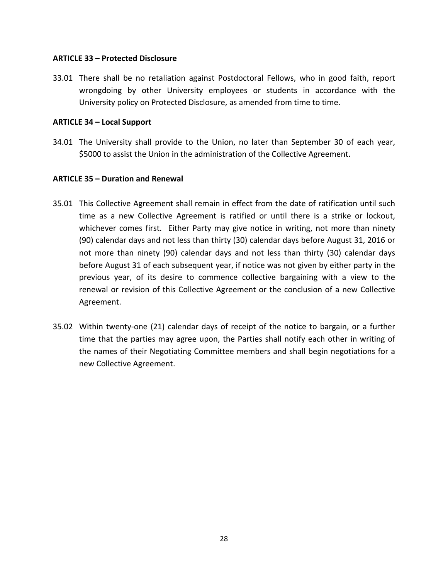### **ARTICLE!33!– Protected!Disclosure**

33.01 There shall be no retaliation against Postdoctoral Fellows, who in good faith, report wrongdoing by other University employees or students in accordance with the University policy on Protected Disclosure, as amended from time to time.

### **ARTICLE 34 – Local Support**

34.01 The University shall provide to the Union, no later than September 30 of each year, \$5000 to assist the Union in the administration of the Collective Agreement.

### **ARTICLE 35 – Duration and Renewal**

- 35.01 This Collective Agreement shall remain in effect from the date of ratification until such time as a new Collective Agreement is ratified or until there is a strike or lockout, whichever comes first. Either Party may give notice in writing, not more than ninety (90) calendar days and not less than thirty (30) calendar days before August 31, 2016 or not more than ninety (90) calendar days and not less than thirty (30) calendar days before August 31 of each subsequent year, if notice was not given by either party in the previous year, of its desire to commence collective bargaining with a view to the renewal or revision of this Collective Agreement or the conclusion of a new Collective Agreement.
- 35.02 Within twenty-one (21) calendar days of receipt of the notice to bargain, or a further time that the parties may agree upon, the Parties shall notify each other in writing of the names of their Negotiating Committee members and shall begin negotiations for a new Collective Agreement.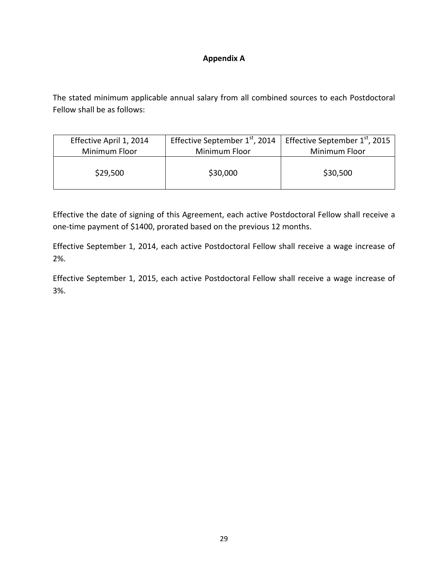### **Appendix!A**

The stated minimum applicable annual salary from all combined sources to each Postdoctoral Fellow shall be as follows:

| Effective April 1, 2014 | Effective September 1 <sup>st</sup> , 2014 | Effective September $1st$ , 2015 |
|-------------------------|--------------------------------------------|----------------------------------|
| Minimum Floor           | Minimum Floor                              | Minimum Floor                    |
| \$29,500                | \$30,000                                   | \$30,500                         |

Effective the date of signing of this Agreement, each active Postdoctoral Fellow shall receive a one-time payment of \$1400, prorated based on the previous 12 months.

Effective September 1, 2014, each active Postdoctoral Fellow shall receive a wage increase of 2%.

Effective September 1, 2015, each active Postdoctoral Fellow shall receive a wage increase of 3%.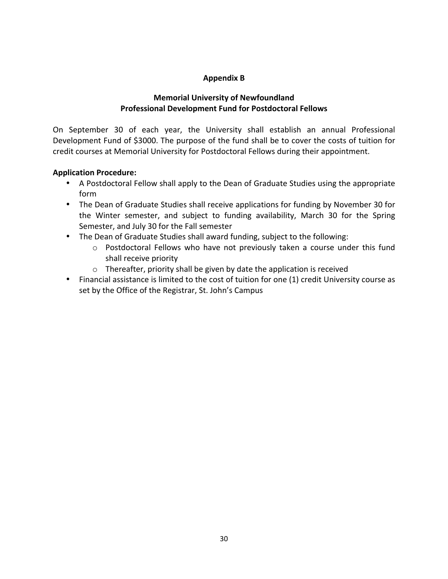### **Appendix!B**

### **Memorial University of Newfoundland** Professional Development Fund for Postdoctoral Fellows

On September 30 of each year, the University shall establish an annual Professional Development Fund of \$3000. The purpose of the fund shall be to cover the costs of tuition for credit courses at Memorial University for Postdoctoral Fellows during their appointment.

### **Application Procedure:**

- A Postdoctoral Fellow shall apply to the Dean of Graduate Studies using the appropriate form!
- The Dean of Graduate Studies shall receive applications for funding by November 30 for the Winter semester, and subject to funding availability, March 30 for the Spring Semester, and July 30 for the Fall semester
- The Dean of Graduate Studies shall award funding, subject to the following:
	- $\circ$  Postdoctoral Fellows who have not previously taken a course under this fund shall receive priority
	- $\circ$  Thereafter, priority shall be given by date the application is received
- Financial assistance is limited to the cost of tuition for one (1) credit University course as set by the Office of the Registrar, St. John's Campus